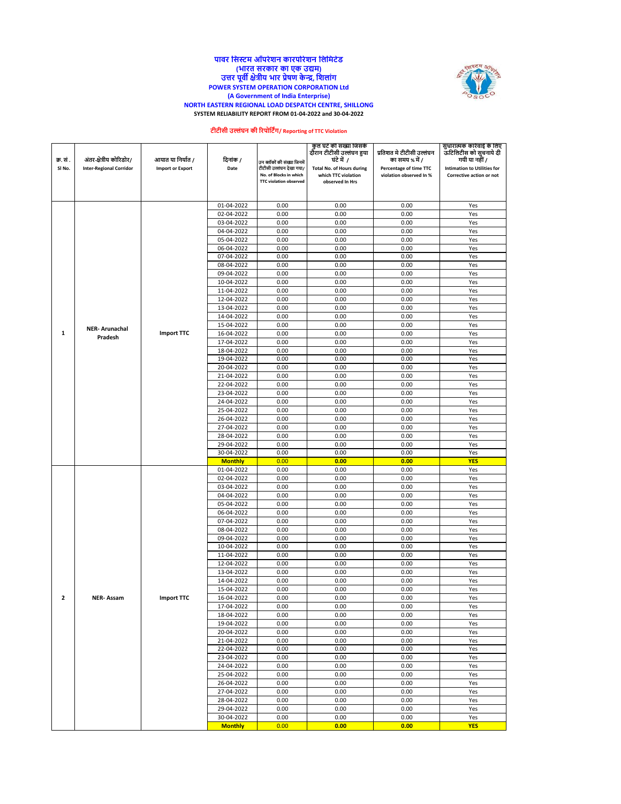#### **पावर नसस्टम ऑपरेशि कारपोरेशि नलनमटेड (भारत सरकार का एक उद्यम) उत्तर पूवी क्षेत्रीय भार प्रेषण केन्द्र, नशलांग POWER SYSTEM OPERATION CORPORATION Ltd (A Government of India Enterprise) NORTH EASTERN REGIONAL LOAD DESPATCH CENTRE, SHILLONG SYSTEM RELIABILITY REPORT FROM 01-04-2022 and 30-04-2022**



## **टीटीसी उल्लंघि की ररपोनटिंग/ Reporting of TTC Violation**

|                |                                |                         |                          |                                                         | कुल घट की सख्या जिसके<br>दौरान टीटीसी उल्लंघन हुया |                                             | सुधारात्मक कारवाई के लिए                |
|----------------|--------------------------------|-------------------------|--------------------------|---------------------------------------------------------|----------------------------------------------------|---------------------------------------------|-----------------------------------------|
| क्र. सं .      | अंतर-क्षेत्रीय कोरिडोर/        | आयात या निर्यात /       | दिनांक /                 |                                                         | घंटे में 7                                         | प्रतिशत मे टीटीसी उल्लंघन<br>का समय % में / | ऊटिलिटीस को सुचनाये दी<br>गयी या नहीं / |
| SI No.         | <b>Inter-Regional Corridor</b> | <b>Import or Export</b> | Date                     | उन ब्लॉकों की संख्या जिनमें<br>टीटीसी उल्लंघन देखा गया/ | <b>Total No. of Hours during</b>                   | Percentage of time TTC                      | <b>Intimation to Utilities for</b>      |
|                |                                |                         |                          | No. of Blocks in which                                  | which TTC violation                                | violation observed In %                     | Corrective action or not                |
|                |                                |                         |                          | <b>TTC violation observed</b>                           | observed In Hrs                                    |                                             |                                         |
|                |                                |                         |                          |                                                         |                                                    |                                             |                                         |
|                |                                |                         | 01-04-2022               | 0.00                                                    | 0.00                                               | 0.00                                        | Yes                                     |
|                |                                |                         | 02-04-2022               | 0.00                                                    | 0.00                                               | 0.00                                        | Yes                                     |
|                |                                |                         | 03-04-2022               | 0.00                                                    | 0.00                                               | 0.00                                        | Yes                                     |
|                |                                |                         | 04-04-2022               | 0.00                                                    | 0.00                                               | 0.00                                        | Yes                                     |
|                |                                |                         | 05-04-2022               | 0.00                                                    | 0.00                                               | 0.00                                        | Yes                                     |
|                |                                |                         | 06-04-2022               | 0.00                                                    | 0.00                                               | 0.00                                        | Yes                                     |
|                |                                |                         | 07-04-2022               | 0.00                                                    | 0.00                                               | 0.00                                        | Yes                                     |
|                |                                |                         | 08-04-2022               | 0.00                                                    | 0.00                                               | 0.00                                        | Yes                                     |
|                |                                |                         | 09-04-2022               | 0.00                                                    | 0.00                                               | 0.00                                        | Yes                                     |
|                |                                |                         | 10-04-2022               | 0.00                                                    | 0.00<br>0.00                                       | 0.00                                        | Yes                                     |
|                |                                |                         | 11-04-2022<br>12-04-2022 | 0.00<br>0.00                                            | 0.00                                               | 0.00<br>0.00                                | Yes<br>Yes                              |
|                |                                |                         | 13-04-2022               | 0.00                                                    | 0.00                                               | 0.00                                        | Yes                                     |
|                |                                |                         | 14-04-2022               | 0.00                                                    | 0.00                                               | 0.00                                        | Yes                                     |
|                |                                |                         | 15-04-2022               | 0.00                                                    | 0.00                                               | 0.00                                        | Yes                                     |
| $\mathbf{1}$   | <b>NER-Arunachal</b>           | <b>Import TTC</b>       | 16-04-2022               | 0.00                                                    | 0.00                                               | 0.00                                        | Yes                                     |
|                | Pradesh                        |                         | 17-04-2022               | 0.00                                                    | 0.00                                               | 0.00                                        | Yes                                     |
|                |                                |                         | 18-04-2022               | 0.00                                                    | 0.00                                               | 0.00                                        | Yes                                     |
|                |                                |                         | 19-04-2022               | 0.00                                                    | 0.00                                               | 0.00                                        | Yes                                     |
|                |                                |                         | 20-04-2022               | 0.00                                                    | 0.00                                               | 0.00                                        | Yes                                     |
|                |                                |                         | 21-04-2022               | 0.00                                                    | 0.00                                               | 0.00                                        | Yes                                     |
|                |                                |                         | 22-04-2022               | 0.00                                                    | 0.00                                               | 0.00                                        | Yes                                     |
|                |                                |                         | 23-04-2022               | 0.00                                                    | 0.00                                               | 0.00                                        | Yes                                     |
|                |                                |                         | 24-04-2022               | 0.00                                                    | 0.00                                               | 0.00                                        | Yes                                     |
|                |                                |                         | 25-04-2022               | 0.00                                                    | 0.00                                               | 0.00                                        | Yes                                     |
|                |                                |                         | 26-04-2022               | 0.00                                                    | 0.00                                               | 0.00                                        | Yes                                     |
|                |                                |                         | 27-04-2022               | 0.00                                                    | 0.00                                               | 0.00                                        | Yes                                     |
|                |                                |                         | 28-04-2022               | 0.00                                                    | 0.00                                               | 0.00                                        | Yes                                     |
|                |                                |                         | 29-04-2022               | 0.00                                                    | 0.00                                               | 0.00                                        | Yes                                     |
|                |                                |                         | 30-04-2022               | 0.00                                                    | 0.00                                               | 0.00                                        | Yes                                     |
|                |                                |                         | <b>Monthly</b>           | 0.00                                                    | 0.00                                               | 0.00                                        | <b>YES</b>                              |
|                |                                |                         | 01-04-2022               | 0.00                                                    | 0.00                                               | 0.00                                        | Yes                                     |
|                |                                |                         | 02-04-2022               | 0.00                                                    | 0.00                                               | 0.00                                        | Yes                                     |
|                |                                |                         | 03-04-2022               | 0.00                                                    | 0.00                                               | 0.00                                        | Yes                                     |
|                |                                |                         | 04-04-2022               | 0.00                                                    | 0.00                                               | 0.00                                        | Yes                                     |
|                |                                |                         | 05-04-2022               | 0.00                                                    | 0.00                                               | 0.00                                        | Yes                                     |
|                |                                |                         | 06-04-2022               | 0.00                                                    | 0.00                                               | 0.00                                        | Yes                                     |
|                |                                |                         | 07-04-2022               | 0.00                                                    | 0.00                                               | 0.00                                        | Yes                                     |
|                |                                |                         | 08-04-2022               | 0.00                                                    | 0.00                                               | 0.00                                        | Yes                                     |
|                |                                |                         | 09-04-2022               | 0.00                                                    | 0.00                                               | 0.00                                        | Yes                                     |
|                |                                |                         | 10-04-2022<br>11-04-2022 | 0.00<br>0.00                                            | 0.00<br>0.00                                       | 0.00<br>0.00                                | Yes<br>Yes                              |
|                |                                |                         | 12-04-2022               |                                                         | 0.00                                               |                                             |                                         |
|                |                                |                         | 13-04-2022               | 0.00<br>0.00                                            | 0.00                                               | 0.00<br>0.00                                | Yes<br>Yes                              |
|                |                                |                         | 14-04-2022               | 0.00                                                    | 0.00                                               | 0.00                                        | Yes                                     |
|                |                                |                         | 15-04-2022               | 0.00                                                    | 0.00                                               | 0.00                                        | Yes                                     |
| $\overline{2}$ | <b>NER-Assam</b>               | <b>Import TTC</b>       | 16-04-2022               | 0.00                                                    | 0.00                                               | 0.00                                        | Yes                                     |
|                |                                |                         | 17-04-2022               | 0.00                                                    | 0.00                                               | 0.00                                        | Yes                                     |
|                |                                |                         | 18-04-2022               | 0.00                                                    | 0.00                                               | 0.00                                        | Yes                                     |
|                |                                |                         | 19-04-2022               | 0.00                                                    | 0.00                                               | 0.00                                        | Yes                                     |
|                |                                |                         | 20-04-2022               | 0.00                                                    | 0.00                                               | 0.00                                        | Yes                                     |
|                |                                |                         | 21-04-2022               | 0.00                                                    | 0.00                                               | 0.00                                        | Yes                                     |
|                |                                |                         | 22-04-2022               | 0.00                                                    | 0.00                                               | 0.00                                        | Yes                                     |
|                |                                |                         | 23-04-2022               | 0.00                                                    | 0.00                                               | 0.00                                        | Yes                                     |
|                |                                |                         | 24-04-2022               | 0.00                                                    | 0.00                                               | 0.00                                        | Yes                                     |
|                |                                |                         | 25-04-2022               | 0.00                                                    | 0.00                                               | 0.00                                        | Yes                                     |
|                |                                |                         | 26-04-2022               | 0.00                                                    | 0.00                                               | 0.00                                        | Yes                                     |
|                |                                |                         | 27-04-2022               | 0.00                                                    | 0.00                                               | 0.00                                        | Yes                                     |
|                |                                |                         | 28-04-2022               | 0.00                                                    | 0.00                                               | 0.00                                        | Yes                                     |
|                |                                |                         | 29-04-2022               | 0.00                                                    | 0.00                                               | 0.00                                        | Yes                                     |
|                |                                |                         | 30-04-2022               | 0.00                                                    | 0.00                                               | 0.00                                        | Yes                                     |
|                |                                |                         | <b>Monthly</b>           | 0.00                                                    | 0.00                                               | 0.00                                        | <b>YES</b>                              |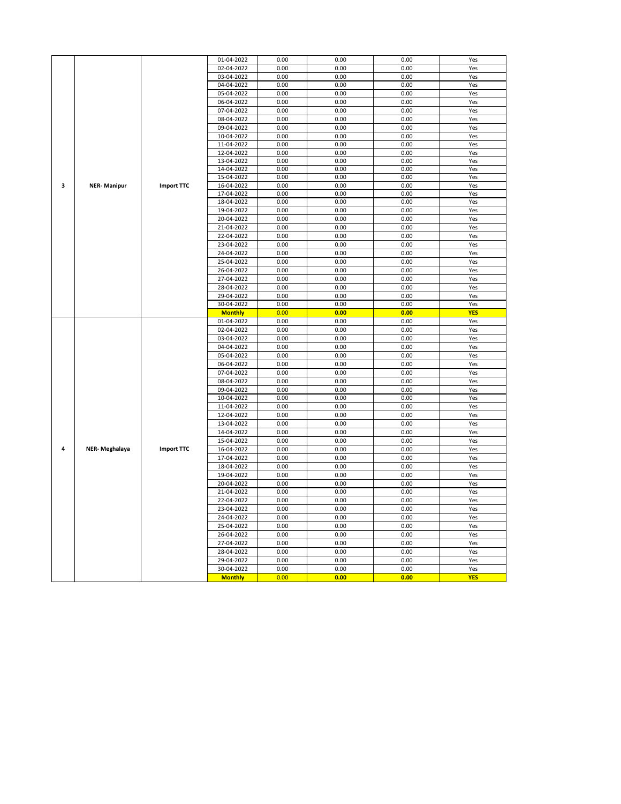|                |                      |                   | 01-04-2022     | 0.00 | 0.00 | 0.00 | Yes        |
|----------------|----------------------|-------------------|----------------|------|------|------|------------|
|                |                      |                   | 02-04-2022     | 0.00 | 0.00 | 0.00 | Yes        |
|                |                      |                   | 03-04-2022     | 0.00 | 0.00 | 0.00 | Yes        |
|                |                      |                   | 04-04-2022     | 0.00 | 0.00 | 0.00 | Yes        |
|                |                      |                   | 05-04-2022     | 0.00 | 0.00 | 0.00 | Yes        |
|                |                      |                   |                |      |      |      |            |
|                |                      |                   | 06-04-2022     | 0.00 | 0.00 | 0.00 | Yes        |
|                |                      |                   | 07-04-2022     | 0.00 | 0.00 | 0.00 | Yes        |
|                |                      |                   | 08-04-2022     | 0.00 | 0.00 | 0.00 | Yes        |
|                |                      |                   | 09-04-2022     | 0.00 | 0.00 | 0.00 | Yes        |
|                |                      | 10-04-2022        | 0.00           | 0.00 | 0.00 | Yes  |            |
|                |                      |                   |                |      |      |      |            |
|                |                      |                   | 11-04-2022     | 0.00 | 0.00 | 0.00 | Yes        |
|                |                      |                   | 12-04-2022     | 0.00 | 0.00 | 0.00 | Yes        |
|                |                      |                   | 13-04-2022     | 0.00 | 0.00 | 0.00 | Yes        |
|                |                      |                   | 14-04-2022     | 0.00 | 0.00 | 0.00 | Yes        |
|                |                      |                   | 15-04-2022     | 0.00 | 0.00 | 0.00 | Yes        |
| 3              | <b>NER-Manipur</b>   | <b>Import TTC</b> | 16-04-2022     | 0.00 | 0.00 | 0.00 | Yes        |
|                |                      |                   | 17-04-2022     | 0.00 | 0.00 | 0.00 | Yes        |
|                |                      |                   |                |      |      |      |            |
|                |                      |                   | 18-04-2022     | 0.00 | 0.00 | 0.00 | Yes        |
|                |                      |                   | 19-04-2022     | 0.00 | 0.00 | 0.00 | Yes        |
|                |                      |                   | 20-04-2022     | 0.00 | 0.00 | 0.00 | Yes        |
|                |                      |                   | 21-04-2022     | 0.00 | 0.00 | 0.00 | Yes        |
|                |                      |                   | 22-04-2022     | 0.00 | 0.00 | 0.00 | Yes        |
|                |                      |                   |                |      |      |      |            |
|                |                      |                   | 23-04-2022     | 0.00 | 0.00 | 0.00 | Yes        |
|                |                      |                   | 24-04-2022     | 0.00 | 0.00 | 0.00 | Yes        |
|                |                      |                   | 25-04-2022     | 0.00 | 0.00 | 0.00 | Yes        |
|                |                      |                   | 26-04-2022     | 0.00 | 0.00 | 0.00 | Yes        |
|                |                      |                   | 27-04-2022     | 0.00 | 0.00 | 0.00 | Yes        |
|                |                      |                   | 28-04-2022     | 0.00 | 0.00 | 0.00 | Yes        |
|                |                      |                   | 29-04-2022     | 0.00 | 0.00 | 0.00 | Yes        |
|                |                      |                   |                |      |      |      |            |
|                |                      |                   | 30-04-2022     | 0.00 | 0.00 | 0.00 | Yes        |
|                |                      |                   | <b>Monthly</b> | 0.00 | 0.00 | 0.00 | <b>YES</b> |
|                |                      |                   | 01-04-2022     | 0.00 | 0.00 | 0.00 | Yes        |
|                |                      |                   | 02-04-2022     | 0.00 | 0.00 | 0.00 | Yes        |
|                |                      |                   | 03-04-2022     | 0.00 | 0.00 | 0.00 | Yes        |
|                |                      |                   | 04-04-2022     | 0.00 | 0.00 | 0.00 | Yes        |
|                |                      |                   |                |      |      |      |            |
|                |                      |                   | 05-04-2022     | 0.00 | 0.00 | 0.00 | Yes        |
|                |                      |                   | 06-04-2022     | 0.00 | 0.00 | 0.00 | Yes        |
|                |                      |                   | 07-04-2022     | 0.00 | 0.00 | 0.00 | Yes        |
|                |                      |                   | 08-04-2022     | 0.00 | 0.00 | 0.00 | Yes        |
|                |                      |                   | 09-04-2022     | 0.00 | 0.00 | 0.00 | Yes        |
|                |                      |                   | 10-04-2022     | 0.00 | 0.00 | 0.00 | Yes        |
|                |                      |                   |                |      |      |      |            |
|                |                      |                   | 11-04-2022     | 0.00 | 0.00 | 0.00 | Yes        |
|                |                      |                   | 12-04-2022     | 0.00 | 0.00 | 0.00 | Yes        |
|                |                      |                   | 13-04-2022     | 0.00 | 0.00 | 0.00 | Yes        |
|                |                      |                   | 14-04-2022     | 0.00 | 0.00 | 0.00 | Yes        |
|                |                      |                   | 15-04-2022     | 0.00 | 0.00 | 0.00 | Yes        |
| $\overline{4}$ | <b>NER-Meghalaya</b> | <b>Import TTC</b> | 16-04-2022     | 0.00 | 0.00 | 0.00 | Yes        |
|                |                      |                   |                |      |      |      |            |
|                |                      |                   | 17-04-2022     | 0.00 | 0.00 | 0.00 | Yes        |
|                |                      |                   | 18-04-2022     | 0.00 | 0.00 | 0.00 | Yes        |
|                |                      |                   | 19-04-2022     | 0.00 | 0.00 | 0.00 | Yes        |
|                |                      |                   | 20-04-2022     | 0.00 | 0.00 | 0.00 | Yes        |
|                |                      |                   | 21-04-2022     | 0.00 | 0.00 | 0.00 | Yes        |
|                |                      |                   | 22-04-2022     | 0.00 | 0.00 | 0.00 | Yes        |
|                |                      |                   | 23-04-2022     | 0.00 | 0.00 | 0.00 | Yes        |
|                |                      |                   |                |      |      |      |            |
|                |                      |                   | 24-04-2022     | 0.00 | 0.00 | 0.00 | Yes        |
|                |                      |                   | 25-04-2022     | 0.00 | 0.00 | 0.00 | Yes        |
|                |                      |                   | 26-04-2022     | 0.00 | 0.00 | 0.00 | Yes        |
|                |                      |                   | 27-04-2022     | 0.00 | 0.00 | 0.00 | Yes        |
|                |                      |                   | 28-04-2022     | 0.00 | 0.00 | 0.00 | Yes        |
|                |                      |                   | 29-04-2022     | 0.00 | 0.00 | 0.00 | Yes        |
|                |                      |                   |                |      |      |      |            |
|                |                      |                   | 30-04-2022     | 0.00 | 0.00 | 0.00 | Yes        |
|                |                      |                   | <b>Monthly</b> | 0.00 | 0.00 | 0.00 | <b>YES</b> |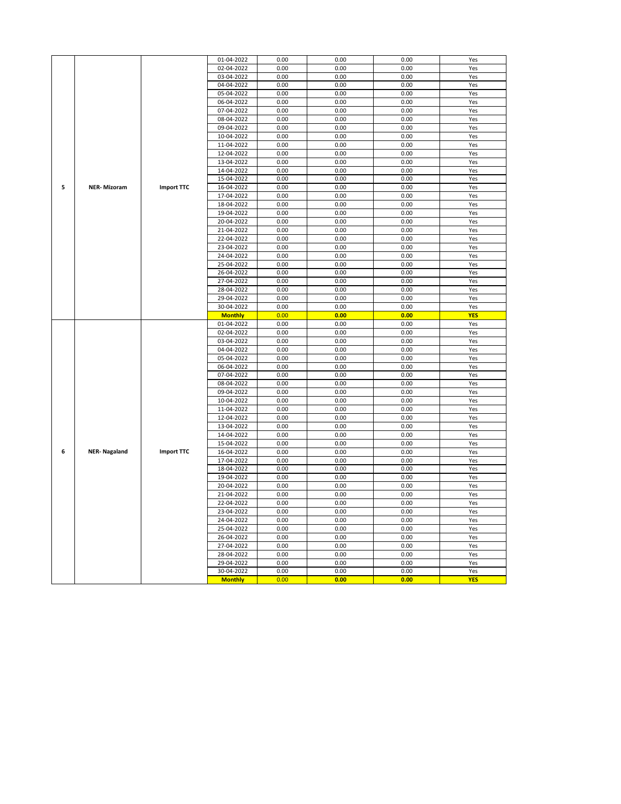|   |                     |                   | 01-04-2022     | 0.00 | 0.00 | 0.00 | Yes        |
|---|---------------------|-------------------|----------------|------|------|------|------------|
|   |                     |                   | 02-04-2022     | 0.00 | 0.00 | 0.00 | Yes        |
|   |                     |                   | 03-04-2022     | 0.00 | 0.00 | 0.00 | Yes        |
|   |                     |                   | 04-04-2022     | 0.00 | 0.00 | 0.00 | Yes        |
|   |                     |                   | 05-04-2022     | 0.00 | 0.00 | 0.00 | Yes        |
|   |                     |                   | 06-04-2022     | 0.00 | 0.00 | 0.00 | Yes        |
|   |                     |                   | 07-04-2022     | 0.00 | 0.00 | 0.00 | Yes        |
|   |                     |                   | 08-04-2022     | 0.00 | 0.00 | 0.00 | Yes        |
|   |                     |                   | 09-04-2022     | 0.00 | 0.00 | 0.00 | Yes        |
|   |                     |                   | 10-04-2022     | 0.00 | 0.00 | 0.00 | Yes        |
|   |                     |                   | 11-04-2022     | 0.00 | 0.00 | 0.00 | Yes        |
|   |                     |                   | 12-04-2022     | 0.00 | 0.00 | 0.00 | Yes        |
|   |                     |                   | 13-04-2022     | 0.00 | 0.00 | 0.00 | Yes        |
|   |                     |                   |                |      |      |      |            |
|   |                     |                   | 14-04-2022     | 0.00 | 0.00 | 0.00 | Yes        |
|   |                     |                   | 15-04-2022     | 0.00 | 0.00 | 0.00 | Yes        |
| 5 | <b>NER-Mizoram</b>  | <b>Import TTC</b> | 16-04-2022     | 0.00 | 0.00 | 0.00 | Yes        |
|   |                     |                   | 17-04-2022     | 0.00 | 0.00 | 0.00 | Yes        |
|   |                     |                   | 18-04-2022     | 0.00 | 0.00 | 0.00 | Yes        |
|   |                     |                   | 19-04-2022     | 0.00 | 0.00 | 0.00 | Yes        |
|   |                     |                   | 20-04-2022     | 0.00 | 0.00 | 0.00 | Yes        |
|   |                     |                   | 21-04-2022     | 0.00 | 0.00 | 0.00 | Yes        |
|   |                     |                   | 22-04-2022     | 0.00 | 0.00 | 0.00 | Yes        |
|   |                     |                   | 23-04-2022     | 0.00 | 0.00 | 0.00 | Yes        |
|   |                     |                   | 24-04-2022     | 0.00 | 0.00 | 0.00 | Yes        |
|   |                     |                   | 25-04-2022     | 0.00 | 0.00 | 0.00 | Yes        |
|   |                     |                   | 26-04-2022     | 0.00 | 0.00 | 0.00 | Yes        |
|   |                     |                   | 27-04-2022     | 0.00 | 0.00 | 0.00 | Yes        |
|   |                     |                   | 28-04-2022     | 0.00 | 0.00 | 0.00 | Yes        |
|   |                     |                   | 29-04-2022     | 0.00 | 0.00 | 0.00 | Yes        |
|   |                     |                   | 30-04-2022     | 0.00 | 0.00 | 0.00 | Yes        |
|   |                     |                   | <b>Monthly</b> | 0.00 | 0.00 | 0.00 | <b>YES</b> |
|   |                     |                   | 01-04-2022     | 0.00 | 0.00 | 0.00 | Yes        |
|   |                     |                   | 02-04-2022     | 0.00 | 0.00 | 0.00 | Yes        |
|   |                     |                   | 03-04-2022     | 0.00 | 0.00 | 0.00 | Yes        |
|   |                     |                   | 04-04-2022     | 0.00 | 0.00 | 0.00 | Yes        |
|   |                     |                   | 05-04-2022     | 0.00 | 0.00 | 0.00 | Yes        |
|   |                     |                   | 06-04-2022     | 0.00 | 0.00 | 0.00 | Yes        |
|   |                     |                   | 07-04-2022     | 0.00 | 0.00 | 0.00 | Yes        |
|   |                     |                   | 08-04-2022     | 0.00 | 0.00 | 0.00 | Yes        |
|   |                     |                   | 09-04-2022     | 0.00 | 0.00 | 0.00 | Yes        |
|   |                     |                   | 10-04-2022     | 0.00 | 0.00 | 0.00 | Yes        |
|   |                     |                   | 11-04-2022     | 0.00 | 0.00 | 0.00 | Yes        |
|   |                     |                   | 12-04-2022     | 0.00 | 0.00 | 0.00 | Yes        |
|   |                     |                   | 13-04-2022     | 0.00 | 0.00 | 0.00 | Yes        |
|   |                     |                   | 14-04-2022     | 0.00 | 0.00 | 0.00 | Yes        |
|   |                     |                   | 15-04-2022     | 0.00 | 0.00 | 0.00 | Yes        |
| 6 | <b>NER-Nagaland</b> | <b>Import TTC</b> | 16-04-2022     | 0.00 | 0.00 | 0.00 | Yes        |
|   |                     |                   | 17-04-2022     | 0.00 | 0.00 | 0.00 | Yes        |
|   |                     |                   | 18-04-2022     | 0.00 | 0.00 | 0.00 | Yes        |
|   |                     |                   | 19-04-2022     | 0.00 | 0.00 | 0.00 | Yes        |
|   |                     |                   |                |      | 0.00 | 0.00 |            |
|   |                     |                   | 20-04-2022     | 0.00 |      |      | Yes        |
|   |                     |                   | 21-04-2022     | 0.00 | 0.00 | 0.00 | Yes        |
|   |                     |                   | 22-04-2022     | 0.00 | 0.00 | 0.00 | Yes        |
|   |                     |                   | 23-04-2022     | 0.00 | 0.00 | 0.00 | Yes        |
|   |                     |                   | 24-04-2022     | 0.00 | 0.00 | 0.00 | Yes        |
|   |                     |                   | 25-04-2022     | 0.00 | 0.00 | 0.00 | Yes        |
|   |                     |                   | 26-04-2022     | 0.00 | 0.00 | 0.00 | Yes        |
|   |                     |                   | 27-04-2022     | 0.00 | 0.00 | 0.00 | Yes        |
|   |                     |                   | 28-04-2022     | 0.00 | 0.00 | 0.00 | Yes        |
|   |                     |                   | 29-04-2022     | 0.00 | 0.00 | 0.00 | Yes        |
|   |                     |                   | 30-04-2022     | 0.00 | 0.00 | 0.00 | Yes        |
|   |                     |                   | <b>Monthly</b> | 0.00 | 0.00 | 0.00 | <b>YES</b> |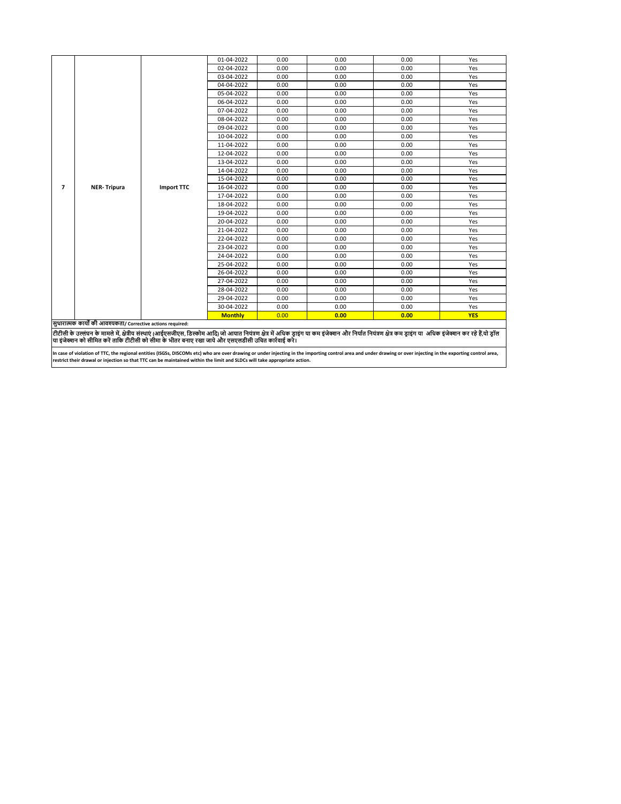|                |                                                              |                   | 01-04-2022     | 0.00 | 0.00 | 0.00                                                                                                                                                                                         | Yes        |
|----------------|--------------------------------------------------------------|-------------------|----------------|------|------|----------------------------------------------------------------------------------------------------------------------------------------------------------------------------------------------|------------|
|                |                                                              |                   | 02-04-2022     | 0.00 | 0.00 | 0.00                                                                                                                                                                                         | Yes        |
|                |                                                              |                   | 03-04-2022     | 0.00 | 0.00 | 0.00                                                                                                                                                                                         | Yes        |
|                |                                                              |                   | 04-04-2022     | 0.00 | 0.00 | 0.00                                                                                                                                                                                         | Yes        |
|                |                                                              |                   | 05-04-2022     | 0.00 | 0.00 | 0.00                                                                                                                                                                                         | Yes        |
|                |                                                              |                   | 06-04-2022     | 0.00 | 0.00 | 0.00                                                                                                                                                                                         | Yes        |
|                |                                                              |                   | 07-04-2022     | 0.00 | 0.00 | 0.00                                                                                                                                                                                         | Yes        |
|                |                                                              |                   | 08-04-2022     | 0.00 | 0.00 | 0.00                                                                                                                                                                                         | Yes        |
|                |                                                              |                   | 09-04-2022     | 0.00 | 0.00 | 0.00                                                                                                                                                                                         | Yes        |
|                |                                                              |                   | 10-04-2022     | 0.00 | 0.00 | 0.00                                                                                                                                                                                         | Yes        |
|                |                                                              |                   | 11-04-2022     | 0.00 | 0.00 | 0.00                                                                                                                                                                                         | Yes        |
|                |                                                              |                   | 12-04-2022     | 0.00 | 0.00 | 0.00                                                                                                                                                                                         | Yes        |
|                |                                                              |                   | 13-04-2022     | 0.00 | 0.00 | 0.00                                                                                                                                                                                         | Yes        |
|                |                                                              |                   | 14-04-2022     | 0.00 | 0.00 | 0.00                                                                                                                                                                                         | Yes        |
|                |                                                              |                   | 15-04-2022     | 0.00 | 0.00 | 0.00                                                                                                                                                                                         | Yes        |
| $\overline{7}$ | <b>NER-Tripura</b>                                           | <b>Import TTC</b> | 16-04-2022     | 0.00 | 0.00 | 0.00                                                                                                                                                                                         | Yes        |
|                |                                                              |                   | 17-04-2022     | 0.00 | 0.00 | 0.00                                                                                                                                                                                         | Yes        |
|                |                                                              |                   | 18-04-2022     | 0.00 | 0.00 | 0.00                                                                                                                                                                                         | Yes        |
|                |                                                              |                   | 19-04-2022     | 0.00 | 0.00 | 0.00                                                                                                                                                                                         | Yes        |
|                |                                                              |                   | 20-04-2022     | 0.00 | 0.00 | 0.00                                                                                                                                                                                         | Yes        |
|                |                                                              |                   | 21-04-2022     | 0.00 | 0.00 | 0.00                                                                                                                                                                                         | Yes        |
|                |                                                              |                   | 22-04-2022     | 0.00 | 0.00 | 0.00                                                                                                                                                                                         | Yes        |
|                |                                                              |                   | 23-04-2022     | 0.00 | 0.00 | 0.00                                                                                                                                                                                         | Yes        |
|                |                                                              |                   | 24-04-2022     | 0.00 | 0.00 | 0.00                                                                                                                                                                                         | Yes        |
|                |                                                              |                   | 25-04-2022     | 0.00 | 0.00 | 0.00                                                                                                                                                                                         | Yes        |
|                |                                                              |                   | 26-04-2022     | 0.00 | 0.00 | 0.00                                                                                                                                                                                         | Yes        |
|                |                                                              |                   | 27-04-2022     | 0.00 | 0.00 | 0.00                                                                                                                                                                                         | Yes        |
|                |                                                              |                   | 28-04-2022     | 0.00 | 0.00 | 0.00                                                                                                                                                                                         | Yes        |
|                |                                                              |                   | 29-04-2022     | 0.00 | 0.00 | 0.00                                                                                                                                                                                         | Yes        |
|                |                                                              |                   | 30-04-2022     | 0.00 | 0.00 | 0.00                                                                                                                                                                                         | Yes        |
|                |                                                              |                   | <b>Monthly</b> | 0.00 | 0.00 | 0.00                                                                                                                                                                                         | <b>YES</b> |
|                | सुधारात्मक कार्यों की आवश्यकता/ Corrective actions required: |                   |                |      |      |                                                                                                                                                                                              |            |
|                |                                                              |                   |                |      |      | टीटीसी के उल्लंघन के मामले में. क्षेत्रीय संस्थाएं (आईएसजीएस. डिस्कोम आदि) जो आयात नियंत्रण क्षेत्र आईज कर इंजेक्शन और निर्यात नियंत्रण क्षेत्र कम डाइंग या  अधिक इंजेक्शन कर रहे हैं यो डॉल |            |

टीटीसी के उल्लंघन के मामले में, क्षेत्रीय संस्था( (आईएसजीएस, डिस्कोम आदी) को आयान नियंश का प्रजान कर का प्रजान का आधिक पर अपने अपने अपने अपने अपने अपने का अधिक इंजेक्शन कर रहे हैं,यो ड्रॉल<br>या इंजेक्शन को सीमित करें ताकि ट

In case of violation of TTC, the regional entities (ISGSs, DISCOMs etc) who are over drawing or under inporting inthe importing control area and under drawing or over injecting in the exporting control area,<br>restrict their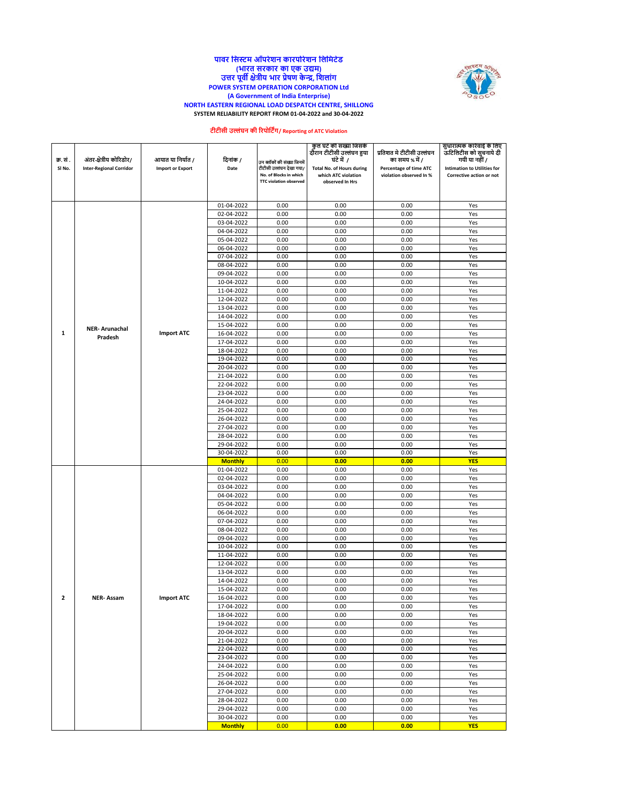#### **NORTH EASTERN REGIONAL LOAD DESPATCH CENTRE, SHILLONG SYSTEM RELIABILITY REPORT FROM 01-04-2022 and 30-04-2022 पावर नसस्टम ऑपरेशि कारपोरेशि नलनमटेड (भारत सरकार का एक उद्यम) उत्तर पूवी क्षेत्रीय भार प्रेषण केन्द्र, नशलांग POWER SYSTEM OPERATION CORPORATION Ltd (A Government of India Enterprise)**



## **टीटीसी उल्लंघि की ररपोनटिंग/ Reporting of ATC Violation**

|           |                                |                         |                          |                                                    | कुल घट की सख्या जिसके<br>दौरान टीटीसी उल्लंघन हुया      |                                                   | सुधारात्मक कारवाई के लिए<br>ऊटिलिटीस को सुचनाये दी             |
|-----------|--------------------------------|-------------------------|--------------------------|----------------------------------------------------|---------------------------------------------------------|---------------------------------------------------|----------------------------------------------------------------|
|           |                                |                         |                          |                                                    |                                                         | प्रतिशत मे टीटीसी उल्लंघन                         |                                                                |
| क्र. सं . | अंतर-क्षेत्रीय कोरिडोर/        | आयात या निर्यात /       | दिनांक /                 | उन ब्लॉकों की संख्या जिनमें                        | घंटे में 7                                              | का समय % में /                                    | गयी या नहीं /                                                  |
| SI No.    | <b>Inter-Regional Corridor</b> | <b>Import or Export</b> | Date                     | टीटीसी उल्लंघन देखा गया/<br>No. of Blocks in which | <b>Total No. of Hours during</b><br>which ATC violation | Percentage of time ATC<br>violation observed In % | <b>Intimation to Utilities for</b><br>Corrective action or not |
|           |                                |                         |                          | <b>TTC violation observed</b>                      | observed In Hrs                                         |                                                   |                                                                |
|           |                                |                         |                          |                                                    |                                                         |                                                   |                                                                |
|           |                                |                         |                          |                                                    |                                                         |                                                   |                                                                |
|           |                                |                         | 01-04-2022               | 0.00                                               | 0.00                                                    | 0.00                                              | Yes                                                            |
|           |                                |                         | 02-04-2022               | 0.00                                               | 0.00                                                    | 0.00                                              | Yes                                                            |
|           |                                |                         | 03-04-2022               | 0.00                                               | 0.00                                                    | 0.00                                              | Yes                                                            |
|           |                                |                         | 04-04-2022               | 0.00                                               | 0.00                                                    | 0.00                                              | Yes                                                            |
|           |                                |                         | 05-04-2022               | 0.00                                               | 0.00                                                    | 0.00                                              | Yes                                                            |
|           |                                |                         | 06-04-2022               | 0.00                                               | 0.00                                                    | 0.00                                              | Yes                                                            |
|           |                                |                         | 07-04-2022               | 0.00                                               | 0.00                                                    | 0.00                                              | Yes                                                            |
|           |                                |                         | 08-04-2022               | 0.00                                               | 0.00                                                    | 0.00                                              | Yes                                                            |
|           |                                |                         | 09-04-2022               | 0.00                                               | 0.00                                                    | 0.00                                              | Yes                                                            |
|           |                                |                         | 10-04-2022               | 0.00                                               | 0.00                                                    | 0.00                                              | Yes                                                            |
|           |                                |                         | 11-04-2022               | 0.00                                               | 0.00                                                    | 0.00                                              | Yes                                                            |
|           |                                |                         | 12-04-2022               | 0.00                                               | 0.00                                                    | 0.00                                              | Yes                                                            |
|           |                                |                         | 13-04-2022               | 0.00                                               | 0.00                                                    | 0.00                                              | Yes                                                            |
|           |                                |                         | 14-04-2022               | 0.00<br>0.00                                       | 0.00<br>0.00                                            | 0.00                                              | Yes                                                            |
| 1         | <b>NER-Arunachal</b>           | <b>Import ATC</b>       | 15-04-2022               | 0.00                                               | 0.00                                                    | 0.00                                              | Yes<br>Yes                                                     |
|           | Pradesh                        |                         | 16-04-2022               | 0.00                                               | 0.00                                                    | 0.00<br>0.00                                      | Yes                                                            |
|           |                                |                         | 17-04-2022<br>18-04-2022 |                                                    |                                                         |                                                   |                                                                |
|           |                                |                         | 19-04-2022               | 0.00<br>0.00                                       | 0.00<br>0.00                                            | 0.00<br>0.00                                      | Yes<br>Yes                                                     |
|           |                                |                         | 20-04-2022               | 0.00                                               | 0.00                                                    | 0.00                                              | Yes                                                            |
|           |                                |                         | 21-04-2022               | 0.00                                               | 0.00                                                    | 0.00                                              | Yes                                                            |
|           |                                |                         | 22-04-2022               | 0.00                                               | 0.00                                                    | 0.00                                              | Yes                                                            |
|           |                                |                         | 23-04-2022               | 0.00                                               | 0.00                                                    | 0.00                                              | Yes                                                            |
|           |                                |                         | 24-04-2022               | 0.00                                               | 0.00                                                    | 0.00                                              | Yes                                                            |
|           |                                |                         | 25-04-2022               | 0.00                                               | 0.00                                                    | 0.00                                              | Yes                                                            |
|           |                                |                         | 26-04-2022               | 0.00                                               | 0.00                                                    | 0.00                                              | Yes                                                            |
|           |                                |                         | 27-04-2022               | 0.00                                               | 0.00                                                    | 0.00                                              | Yes                                                            |
|           |                                |                         | 28-04-2022               | 0.00                                               | 0.00                                                    | 0.00                                              | Yes                                                            |
|           |                                |                         | 29-04-2022               | 0.00                                               | 0.00                                                    | 0.00                                              | Yes                                                            |
|           |                                |                         | 30-04-2022               | 0.00                                               | 0.00                                                    | 0.00                                              | Yes                                                            |
|           |                                |                         | <b>Monthly</b>           | 0.00                                               | 0.00                                                    | 0.00                                              | <b>YES</b>                                                     |
|           |                                |                         | 01-04-2022               | 0.00                                               | 0.00                                                    | 0.00                                              | Yes                                                            |
|           |                                |                         | 02-04-2022               | 0.00                                               | 0.00                                                    | 0.00                                              | Yes                                                            |
|           |                                |                         | 03-04-2022               | 0.00                                               | 0.00                                                    | 0.00                                              | Yes                                                            |
|           |                                |                         | 04-04-2022               | 0.00                                               | 0.00                                                    | 0.00                                              | Yes                                                            |
|           |                                |                         | 05-04-2022               | 0.00                                               | 0.00                                                    | 0.00                                              | Yes                                                            |
|           |                                |                         | 06-04-2022               | 0.00                                               | 0.00                                                    | 0.00                                              | Yes                                                            |
|           |                                |                         | 07-04-2022               | 0.00                                               | 0.00                                                    | 0.00                                              | Yes                                                            |
|           |                                |                         | 08-04-2022               | 0.00                                               | 0.00                                                    | 0.00                                              | Yes                                                            |
|           |                                |                         | 09-04-2022               | 0.00                                               | 0.00                                                    | 0.00                                              | Yes                                                            |
|           |                                |                         | 10-04-2022               | 0.00                                               | 0.00                                                    | 0.00                                              | Yes                                                            |
|           |                                |                         | 11-04-2022               | 0.00                                               | 0.00                                                    | 0.00                                              | Yes                                                            |
|           |                                |                         | 12-04-2022               | 0.00                                               | 0.00                                                    | 0.00                                              | Yes                                                            |
|           |                                |                         | 13-04-2022               | 0.00                                               | 0.00                                                    | 0.00                                              | Yes                                                            |
|           |                                |                         | 14-04-2022               | 0.00                                               | 0.00                                                    | 0.00                                              | Yes                                                            |
|           |                                |                         | 15-04-2022               | 0.00                                               | 0.00                                                    | 0.00                                              | Yes                                                            |
| 2         | <b>NER-Assam</b>               | <b>Import ATC</b>       | 16-04-2022               | 0.00                                               | 0.00                                                    | 0.00                                              | Yes                                                            |
|           |                                |                         | 17-04-2022               | 0.00                                               | 0.00                                                    | 0.00                                              | Yes                                                            |
|           |                                |                         | 18-04-2022               | 0.00                                               | 0.00                                                    | 0.00                                              | Yes                                                            |
|           |                                |                         | 19-04-2022               | 0.00                                               | 0.00                                                    | 0.00                                              | Yes                                                            |
|           |                                |                         | 20-04-2022<br>21-04-2022 | 0.00<br>0.00                                       | 0.00<br>0.00                                            | 0.00<br>0.00                                      | Yes<br>Yes                                                     |
|           |                                |                         | 22-04-2022               | 0.00                                               | 0.00                                                    | 0.00                                              |                                                                |
|           |                                |                         | 23-04-2022               | 0.00                                               | 0.00                                                    | 0.00                                              | Yes<br>Yes                                                     |
|           |                                |                         | 24-04-2022               | 0.00                                               | 0.00                                                    | 0.00                                              | Yes                                                            |
|           |                                |                         | 25-04-2022               | 0.00                                               | 0.00                                                    | 0.00                                              | Yes                                                            |
|           |                                |                         | 26-04-2022               | 0.00                                               | 0.00                                                    | 0.00                                              | Yes                                                            |
|           |                                |                         | 27-04-2022               | 0.00                                               | 0.00                                                    | 0.00                                              | Yes                                                            |
|           |                                |                         | 28-04-2022               | 0.00                                               | 0.00                                                    | 0.00                                              | Yes                                                            |
|           |                                |                         | 29-04-2022               | 0.00                                               | 0.00                                                    | 0.00                                              | Yes                                                            |
|           |                                |                         | 30-04-2022               | 0.00                                               | 0.00                                                    | 0.00                                              | Yes                                                            |
|           |                                |                         | <b>Monthly</b>           | 0.00                                               | 0.00                                                    | 0.00                                              | <b>YES</b>                                                     |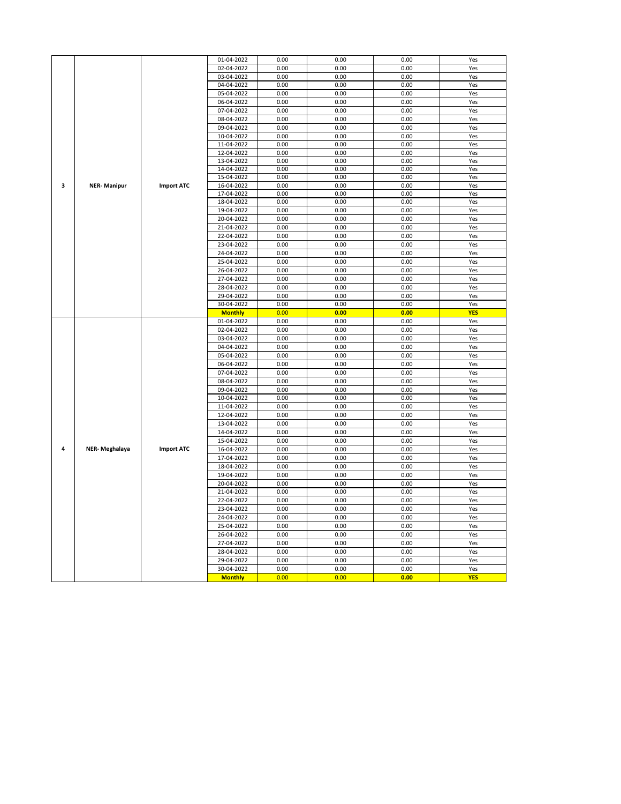|   |                      |                   | 01-04-2022     | 0.00 | 0.00 | 0.00 | Yes        |
|---|----------------------|-------------------|----------------|------|------|------|------------|
|   |                      |                   | 02-04-2022     | 0.00 | 0.00 | 0.00 | Yes        |
|   |                      |                   | 03-04-2022     | 0.00 | 0.00 | 0.00 | Yes        |
|   |                      |                   | 04-04-2022     | 0.00 | 0.00 | 0.00 | Yes        |
|   |                      |                   |                |      |      |      |            |
|   |                      |                   | 05-04-2022     | 0.00 | 0.00 | 0.00 | Yes        |
|   |                      |                   | 06-04-2022     | 0.00 | 0.00 | 0.00 | Yes        |
|   |                      |                   | 07-04-2022     | 0.00 | 0.00 | 0.00 | Yes        |
|   |                      |                   | 08-04-2022     | 0.00 | 0.00 | 0.00 | Yes        |
|   |                      |                   | 09-04-2022     | 0.00 | 0.00 | 0.00 | Yes        |
|   |                      |                   | 0.00           | 0.00 | 0.00 | Yes  |            |
|   |                      | 10-04-2022        |                |      |      |      |            |
|   |                      |                   | 11-04-2022     | 0.00 | 0.00 | 0.00 | Yes        |
|   |                      |                   | 12-04-2022     | 0.00 | 0.00 | 0.00 | Yes        |
|   |                      |                   | 13-04-2022     | 0.00 | 0.00 | 0.00 | Yes        |
|   |                      |                   | 14-04-2022     | 0.00 | 0.00 | 0.00 | Yes        |
|   |                      |                   | 15-04-2022     | 0.00 | 0.00 | 0.00 | Yes        |
| 3 | <b>NER-Manipur</b>   | <b>Import ATC</b> | 16-04-2022     | 0.00 | 0.00 | 0.00 | Yes        |
|   |                      |                   | 17-04-2022     | 0.00 | 0.00 | 0.00 | Yes        |
|   |                      |                   |                |      |      |      |            |
|   |                      |                   | 18-04-2022     | 0.00 | 0.00 | 0.00 | Yes        |
|   |                      |                   | 19-04-2022     | 0.00 | 0.00 | 0.00 | Yes        |
|   |                      |                   | 20-04-2022     | 0.00 | 0.00 | 0.00 | Yes        |
|   |                      |                   | 21-04-2022     | 0.00 | 0.00 | 0.00 | Yes        |
|   |                      |                   | 22-04-2022     | 0.00 | 0.00 | 0.00 | Yes        |
|   |                      |                   | 23-04-2022     | 0.00 | 0.00 | 0.00 | Yes        |
|   |                      |                   |                |      |      |      |            |
|   |                      |                   | 24-04-2022     | 0.00 | 0.00 | 0.00 | Yes        |
|   |                      |                   | 25-04-2022     | 0.00 | 0.00 | 0.00 | Yes        |
|   |                      |                   | 26-04-2022     | 0.00 | 0.00 | 0.00 | Yes        |
|   |                      |                   | 27-04-2022     | 0.00 | 0.00 | 0.00 | Yes        |
|   |                      |                   | 28-04-2022     | 0.00 | 0.00 | 0.00 | Yes        |
|   |                      |                   | 29-04-2022     | 0.00 | 0.00 | 0.00 | Yes        |
|   |                      |                   | 30-04-2022     | 0.00 | 0.00 | 0.00 | Yes        |
|   |                      |                   |                |      |      |      |            |
|   |                      |                   | <b>Monthly</b> | 0.00 | 0.00 | 0.00 | <b>YES</b> |
|   |                      |                   | 01-04-2022     | 0.00 | 0.00 | 0.00 | Yes        |
|   |                      |                   | 02-04-2022     | 0.00 | 0.00 | 0.00 | Yes        |
|   |                      |                   | 03-04-2022     | 0.00 | 0.00 | 0.00 | Yes        |
|   |                      |                   | 04-04-2022     | 0.00 | 0.00 | 0.00 | Yes        |
|   |                      |                   | 05-04-2022     | 0.00 | 0.00 | 0.00 | Yes        |
|   |                      |                   | 06-04-2022     | 0.00 | 0.00 | 0.00 | Yes        |
|   |                      |                   |                |      |      |      |            |
|   |                      |                   | 07-04-2022     | 0.00 | 0.00 | 0.00 | Yes        |
|   |                      |                   | 08-04-2022     | 0.00 | 0.00 | 0.00 | Yes        |
|   |                      |                   | 09-04-2022     | 0.00 | 0.00 | 0.00 | Yes        |
|   |                      |                   | 10-04-2022     | 0.00 | 0.00 | 0.00 | Yes        |
|   |                      |                   | 11-04-2022     | 0.00 | 0.00 | 0.00 | Yes        |
|   |                      |                   | 12-04-2022     | 0.00 | 0.00 | 0.00 | Yes        |
|   |                      |                   | 13-04-2022     | 0.00 | 0.00 | 0.00 |            |
|   |                      |                   |                |      |      |      | Yes        |
|   |                      |                   | 14-04-2022     | 0.00 | 0.00 | 0.00 | Yes        |
|   |                      |                   | 15-04-2022     | 0.00 | 0.00 | 0.00 | Yes        |
| 4 | <b>NER-Meghalaya</b> | <b>Import ATC</b> | 16-04-2022     | 0.00 | 0.00 | 0.00 | Yes        |
|   |                      |                   | 17-04-2022     | 0.00 | 0.00 | 0.00 | Yes        |
|   |                      |                   | 18-04-2022     | 0.00 | 0.00 | 0.00 | Yes        |
|   |                      |                   | 19-04-2022     | 0.00 | 0.00 | 0.00 | Yes        |
|   |                      |                   |                |      | 0.00 | 0.00 |            |
|   |                      |                   | 20-04-2022     | 0.00 |      |      | Yes        |
|   |                      |                   | 21-04-2022     | 0.00 | 0.00 | 0.00 | Yes        |
|   |                      |                   | 22-04-2022     | 0.00 | 0.00 | 0.00 | Yes        |
|   |                      |                   | 23-04-2022     | 0.00 | 0.00 | 0.00 | Yes        |
|   |                      |                   | 24-04-2022     | 0.00 | 0.00 | 0.00 | Yes        |
|   |                      |                   | 25-04-2022     | 0.00 | 0.00 | 0.00 | Yes        |
|   |                      |                   | 26-04-2022     | 0.00 | 0.00 | 0.00 | Yes        |
|   |                      |                   |                | 0.00 |      |      |            |
|   |                      |                   | 27-04-2022     |      | 0.00 | 0.00 | Yes        |
|   |                      |                   | 28-04-2022     | 0.00 | 0.00 | 0.00 | Yes        |
|   |                      |                   | 29-04-2022     | 0.00 | 0.00 | 0.00 | Yes        |
|   |                      |                   | 30-04-2022     | 0.00 | 0.00 | 0.00 | Yes        |
|   |                      |                   |                | 0.00 | 0.00 | 0.00 |            |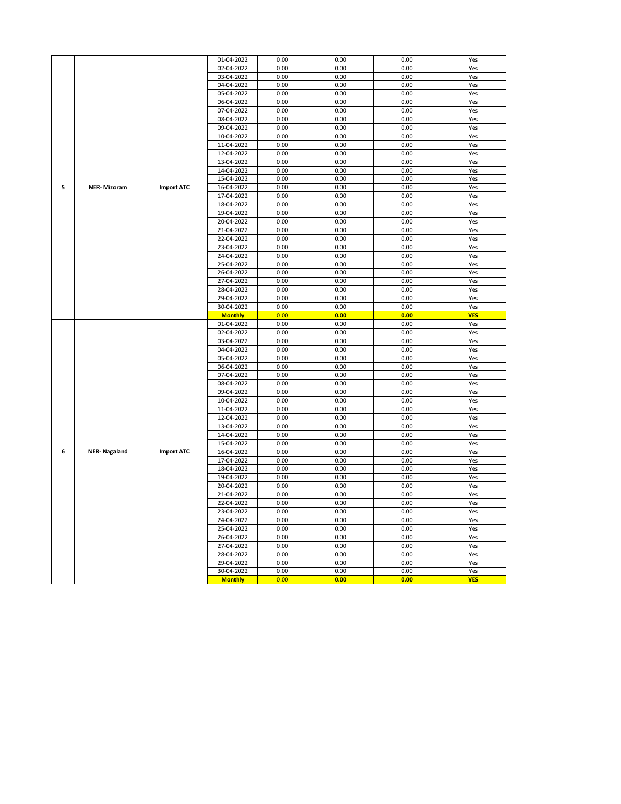|   |                     |                   | 01-04-2022     | 0.00 | 0.00 | 0.00 | Yes        |
|---|---------------------|-------------------|----------------|------|------|------|------------|
|   |                     |                   | 02-04-2022     | 0.00 | 0.00 | 0.00 | Yes        |
|   |                     |                   | 03-04-2022     | 0.00 | 0.00 | 0.00 | Yes        |
|   |                     |                   | 04-04-2022     | 0.00 | 0.00 | 0.00 | Yes        |
|   |                     |                   | 05-04-2022     | 0.00 | 0.00 | 0.00 | Yes        |
|   |                     |                   | 06-04-2022     | 0.00 | 0.00 | 0.00 | Yes        |
|   |                     |                   | 07-04-2022     | 0.00 | 0.00 | 0.00 | Yes        |
|   |                     |                   | 08-04-2022     | 0.00 | 0.00 | 0.00 | Yes        |
|   |                     |                   | 09-04-2022     | 0.00 | 0.00 | 0.00 | Yes        |
|   |                     |                   | 10-04-2022     | 0.00 | 0.00 | 0.00 | Yes        |
|   |                     |                   | 11-04-2022     | 0.00 | 0.00 | 0.00 | Yes        |
|   |                     |                   | 12-04-2022     | 0.00 | 0.00 | 0.00 | Yes        |
|   |                     |                   | 13-04-2022     | 0.00 | 0.00 | 0.00 | Yes        |
|   |                     |                   |                |      |      |      |            |
|   |                     |                   | 14-04-2022     | 0.00 | 0.00 | 0.00 | Yes        |
|   |                     |                   | 15-04-2022     | 0.00 | 0.00 | 0.00 | Yes        |
| 5 | <b>NER-Mizoram</b>  | <b>Import ATC</b> | 16-04-2022     | 0.00 | 0.00 | 0.00 | Yes        |
|   |                     |                   | 17-04-2022     | 0.00 | 0.00 | 0.00 | Yes        |
|   |                     |                   | 18-04-2022     | 0.00 | 0.00 | 0.00 | Yes        |
|   |                     |                   | 19-04-2022     | 0.00 | 0.00 | 0.00 | Yes        |
|   |                     |                   | 20-04-2022     | 0.00 | 0.00 | 0.00 | Yes        |
|   |                     |                   | 21-04-2022     | 0.00 | 0.00 | 0.00 | Yes        |
|   |                     |                   | 22-04-2022     | 0.00 | 0.00 | 0.00 | Yes        |
|   |                     |                   | 23-04-2022     | 0.00 | 0.00 | 0.00 | Yes        |
|   |                     |                   | 24-04-2022     | 0.00 | 0.00 | 0.00 | Yes        |
|   |                     |                   | 25-04-2022     | 0.00 | 0.00 | 0.00 | Yes        |
|   |                     |                   | 26-04-2022     | 0.00 | 0.00 | 0.00 | Yes        |
|   |                     |                   | 27-04-2022     | 0.00 | 0.00 | 0.00 | Yes        |
|   |                     |                   | 28-04-2022     | 0.00 | 0.00 | 0.00 | Yes        |
|   |                     |                   | 29-04-2022     | 0.00 | 0.00 | 0.00 | Yes        |
|   |                     |                   | 30-04-2022     | 0.00 | 0.00 | 0.00 | Yes        |
|   |                     |                   | <b>Monthly</b> | 0.00 | 0.00 | 0.00 | <b>YES</b> |
|   |                     |                   | 01-04-2022     | 0.00 | 0.00 | 0.00 | Yes        |
|   |                     |                   | 02-04-2022     | 0.00 | 0.00 | 0.00 | Yes        |
|   |                     |                   | 03-04-2022     | 0.00 | 0.00 | 0.00 | Yes        |
|   |                     |                   | 04-04-2022     | 0.00 | 0.00 | 0.00 | Yes        |
|   |                     |                   | 05-04-2022     | 0.00 | 0.00 | 0.00 | Yes        |
|   |                     |                   | 06-04-2022     | 0.00 | 0.00 | 0.00 | Yes        |
|   |                     |                   | 07-04-2022     | 0.00 | 0.00 | 0.00 | Yes        |
|   |                     |                   | 08-04-2022     | 0.00 | 0.00 | 0.00 | Yes        |
|   |                     |                   | 09-04-2022     | 0.00 | 0.00 | 0.00 | Yes        |
|   |                     |                   | 10-04-2022     | 0.00 | 0.00 | 0.00 | Yes        |
|   |                     |                   | 11-04-2022     | 0.00 | 0.00 | 0.00 | Yes        |
|   |                     |                   | 12-04-2022     | 0.00 | 0.00 | 0.00 | Yes        |
|   |                     |                   | 13-04-2022     | 0.00 | 0.00 | 0.00 | Yes        |
|   |                     |                   | 14-04-2022     | 0.00 | 0.00 | 0.00 | Yes        |
|   |                     |                   | 15-04-2022     | 0.00 | 0.00 | 0.00 | Yes        |
| 6 | <b>NER-Nagaland</b> | <b>Import ATC</b> | 16-04-2022     | 0.00 | 0.00 | 0.00 | Yes        |
|   |                     |                   | 17-04-2022     | 0.00 | 0.00 | 0.00 | Yes        |
|   |                     |                   | 18-04-2022     | 0.00 | 0.00 | 0.00 | Yes        |
|   |                     |                   | 19-04-2022     | 0.00 | 0.00 | 0.00 | Yes        |
|   |                     |                   |                |      | 0.00 | 0.00 |            |
|   |                     |                   | 20-04-2022     | 0.00 |      |      | Yes        |
|   |                     |                   | 21-04-2022     | 0.00 | 0.00 | 0.00 | Yes        |
|   |                     |                   | 22-04-2022     | 0.00 | 0.00 | 0.00 | Yes        |
|   |                     |                   | 23-04-2022     | 0.00 | 0.00 | 0.00 | Yes        |
|   |                     |                   | 24-04-2022     | 0.00 | 0.00 | 0.00 | Yes        |
|   |                     |                   | 25-04-2022     | 0.00 | 0.00 | 0.00 | Yes        |
|   |                     |                   | 26-04-2022     | 0.00 | 0.00 | 0.00 | Yes        |
|   |                     |                   | 27-04-2022     | 0.00 | 0.00 | 0.00 | Yes        |
|   |                     |                   | 28-04-2022     | 0.00 | 0.00 | 0.00 | Yes        |
|   |                     |                   | 29-04-2022     | 0.00 | 0.00 | 0.00 | Yes        |
|   |                     |                   | 30-04-2022     | 0.00 | 0.00 | 0.00 | Yes        |
|   |                     |                   | <b>Monthly</b> | 0.00 | 0.00 | 0.00 | <b>YES</b> |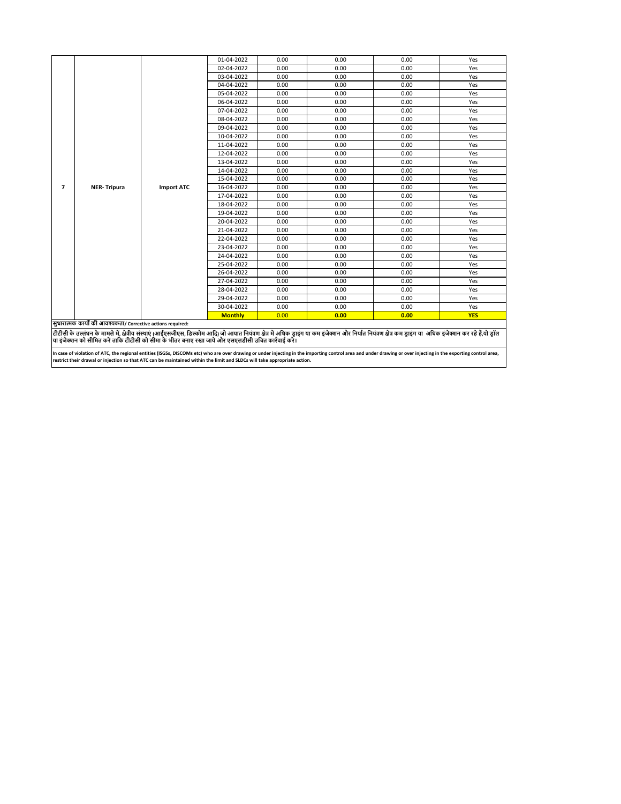|                |                                                              |                   | 01-04-2022     | 0.00 | 0.00 | 0.00                                                                                                                                                                                    | Yes        |
|----------------|--------------------------------------------------------------|-------------------|----------------|------|------|-----------------------------------------------------------------------------------------------------------------------------------------------------------------------------------------|------------|
|                |                                                              |                   | 02-04-2022     | 0.00 | 0.00 | 0.00                                                                                                                                                                                    | Yes        |
|                |                                                              |                   | 03-04-2022     | 0.00 | 0.00 | 0.00                                                                                                                                                                                    | Yes        |
|                |                                                              |                   | 04-04-2022     | 0.00 | 0.00 | 0.00                                                                                                                                                                                    | Yes        |
|                |                                                              |                   | 05-04-2022     | 0.00 | 0.00 | 0.00                                                                                                                                                                                    | Yes        |
|                |                                                              |                   | 06-04-2022     | 0.00 | 0.00 | 0.00                                                                                                                                                                                    | Yes        |
|                |                                                              |                   | 07-04-2022     | 0.00 | 0.00 | 0.00                                                                                                                                                                                    | Yes        |
|                |                                                              |                   | 08-04-2022     | 0.00 | 0.00 | 0.00                                                                                                                                                                                    | Yes        |
|                |                                                              |                   | 09-04-2022     | 0.00 | 0.00 | 0.00                                                                                                                                                                                    | Yes        |
|                |                                                              |                   | 10-04-2022     | 0.00 | 0.00 | 0.00                                                                                                                                                                                    | Yes        |
|                |                                                              |                   | 11-04-2022     | 0.00 | 0.00 | 0.00                                                                                                                                                                                    | Yes        |
|                |                                                              |                   | 12-04-2022     | 0.00 | 0.00 | 0.00                                                                                                                                                                                    | Yes        |
|                |                                                              |                   | 13-04-2022     | 0.00 | 0.00 | 0.00                                                                                                                                                                                    | Yes        |
|                |                                                              |                   | 14-04-2022     | 0.00 | 0.00 | 0.00                                                                                                                                                                                    | Yes        |
|                |                                                              |                   | 15-04-2022     | 0.00 | 0.00 | 0.00                                                                                                                                                                                    | Yes        |
| $\overline{7}$ | <b>NER-Tripura</b>                                           | <b>Import ATC</b> | 16-04-2022     | 0.00 | 0.00 | 0.00                                                                                                                                                                                    | Yes        |
|                |                                                              |                   | 17-04-2022     | 0.00 | 0.00 | 0.00                                                                                                                                                                                    | Yes        |
|                |                                                              |                   | 18-04-2022     | 0.00 | 0.00 | 0.00                                                                                                                                                                                    | Yes        |
|                |                                                              |                   | 19-04-2022     | 0.00 | 0.00 | 0.00                                                                                                                                                                                    | Yes        |
|                |                                                              |                   | 20-04-2022     | 0.00 | 0.00 | 0.00                                                                                                                                                                                    | Yes        |
|                |                                                              |                   | 21-04-2022     | 0.00 | 0.00 | 0.00                                                                                                                                                                                    | Yes        |
|                |                                                              |                   | 22-04-2022     | 0.00 | 0.00 | 0.00                                                                                                                                                                                    | Yes        |
|                |                                                              |                   | 23-04-2022     | 0.00 | 0.00 | 0.00                                                                                                                                                                                    | Yes        |
|                |                                                              |                   | 24-04-2022     | 0.00 | 0.00 | 0.00                                                                                                                                                                                    | Yes        |
|                |                                                              |                   | 25-04-2022     | 0.00 | 0.00 | 0.00                                                                                                                                                                                    | Yes        |
|                |                                                              |                   | 26-04-2022     | 0.00 | 0.00 | 0.00                                                                                                                                                                                    | Yes        |
|                |                                                              |                   | 27-04-2022     | 0.00 | 0.00 | 0.00                                                                                                                                                                                    | Yes        |
|                |                                                              |                   | 28-04-2022     | 0.00 | 0.00 | 0.00                                                                                                                                                                                    | Yes        |
|                |                                                              |                   | 29-04-2022     | 0.00 | 0.00 | 0.00                                                                                                                                                                                    | Yes        |
|                |                                                              |                   | 30-04-2022     | 0.00 | 0.00 | 0.00                                                                                                                                                                                    | Yes        |
|                |                                                              |                   | <b>Monthly</b> | 0.00 | 0.00 | 0.00                                                                                                                                                                                    | <b>YES</b> |
|                | सुधारात्मक कार्यों की आवश्यकता/ Corrective actions required: |                   |                |      |      |                                                                                                                                                                                         |            |
|                |                                                              |                   |                |      |      | टीटीसी के उल्लंघन के मामले में क्षेत्रीय संस्थाएं (आईएसजीएस डिस्कोम आदि) जो आयात नियंत्रण क्षेत्र में अधिक डाइंस आर नियंत नियंत्रण क्षेत्र कम डाइंग या  अधिक इंजेक्शन कर रहे हैं यो डॉल |            |

टीटीसी के उल्लंघन के मामले में, क्षेत्रीय संस्था( (आईएसजीएस, डिस्कोम आदी) को आयान नियंश का प्रजान कर का प्रजान का आधिक पर अपने अपने अपने अपने अपने अपने का अधिक इंजेक्शन कर रहे हैं,यो ड्रॉल<br>या इंजेक्शन को सीमित करें ताकि ट

In case of violation of ATC, the regional entities (ISGSs, DISCOMs etc) who are over drawing or under injecting in the importing control area and under drawing or over injecting in the exporting control area,<br>restrict thei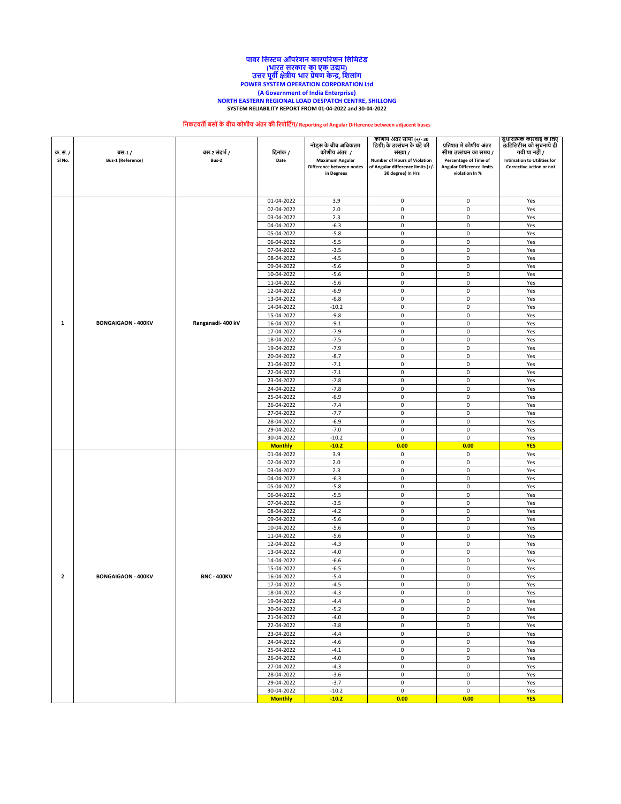### **NORTH EASTERN REGIONAL LOAD DESPATCH CENTRE, SHILLONG SYSTEM RELIABILITY REPORT FROM 01-04-2022 and 30-04-2022 पावर नसस्टम ऑपरेशि कारपोरेशि नलनमटेड (भारत सरकार का एक उद्यम) उत्तर पूवी क्षेत्रीय भार प्रेषण केन्द्र, नशलांग POWER SYSTEM OPERATION CORPORATION Ltd (A Government of India Enterprise)**

# **निकटवती बसोंके बीच कोणीय अंतर की ररपोनटिंग/ Reporting of Angular Difference between adjacent buses**

| क्र. सं. /<br>SI No.    | बस-1/<br><b>Bus-1 (Reference)</b> | बस-2 संदर्भ /<br>Bus-2 | दिनांक /<br>Date             | नोड्स के बीच अधिकतम<br>कोणीय अंतर /<br><b>Maximum Angular</b><br>Difference between nodes<br>in Degrees | काणाय अंतर सामा (+/- 30<br>डिग्री) के उल्लंघन के घंटे की<br>संख्या /<br>Number of Hours of Violation<br>of Angular difference limits (+/-<br>30 degree) In Hrs | प्रतिशत मे कोणीय अंतर<br>सीमा उल्लंघन का समय /<br>Percentage of Time of<br><b>Angular Difference limits</b><br>violation In % | सुधारात्मक कारवाइ के लिए<br>ऊटिलिटीस को सुचनाये दी<br>गयी या नहीं /<br><b>Intimation to Utilities for</b><br>Corrective action or not |
|-------------------------|-----------------------------------|------------------------|------------------------------|---------------------------------------------------------------------------------------------------------|----------------------------------------------------------------------------------------------------------------------------------------------------------------|-------------------------------------------------------------------------------------------------------------------------------|---------------------------------------------------------------------------------------------------------------------------------------|
|                         |                                   |                        | 01-04-2022                   | 3.9                                                                                                     | $\mathsf 0$                                                                                                                                                    | $\mathsf 0$                                                                                                                   | Yes                                                                                                                                   |
|                         |                                   |                        | 02-04-2022                   | 2.0                                                                                                     | 0                                                                                                                                                              | 0                                                                                                                             | Yes                                                                                                                                   |
|                         |                                   |                        | 03-04-2022                   | 2.3                                                                                                     | 0                                                                                                                                                              | $\pmb{0}$                                                                                                                     | Yes                                                                                                                                   |
|                         |                                   |                        | 04-04-2022                   | $-6.3$                                                                                                  | $\mathsf 0$                                                                                                                                                    | $\pmb{0}$                                                                                                                     | Yes                                                                                                                                   |
|                         |                                   |                        | 05-04-2022                   | $-5.8$                                                                                                  | 0                                                                                                                                                              | 0                                                                                                                             | Yes                                                                                                                                   |
|                         |                                   |                        | 06-04-2022                   | $-5.5$                                                                                                  | $\mathbf 0$                                                                                                                                                    | $\mathbf 0$                                                                                                                   | Yes                                                                                                                                   |
|                         |                                   |                        | 07-04-2022                   | $-3.5$                                                                                                  | $\mathsf 0$                                                                                                                                                    | $\pmb{0}$                                                                                                                     | Yes                                                                                                                                   |
|                         |                                   |                        | 08-04-2022<br>09-04-2022     | $-4.5$<br>$-5.6$                                                                                        | 0<br>$\mathbf 0$                                                                                                                                               | $\mathsf 0$<br>$\mathbf 0$                                                                                                    | Yes<br>Yes                                                                                                                            |
|                         |                                   |                        | 10-04-2022                   | $-5.6$                                                                                                  | $\mathsf 0$                                                                                                                                                    | $\pmb{0}$                                                                                                                     | Yes                                                                                                                                   |
|                         |                                   |                        | 11-04-2022                   | $-5.6$                                                                                                  | $\mathsf 0$                                                                                                                                                    | $\pmb{0}$                                                                                                                     | Yes                                                                                                                                   |
|                         |                                   |                        | 12-04-2022                   | $-6.9$                                                                                                  | $\mathbf 0$                                                                                                                                                    | $\mathbf 0$                                                                                                                   | Yes                                                                                                                                   |
|                         |                                   |                        | 13-04-2022                   | $-6.8$                                                                                                  | 0                                                                                                                                                              | $\pmb{0}$                                                                                                                     | Yes                                                                                                                                   |
|                         |                                   |                        | 14-04-2022                   | $-10.2$                                                                                                 | $\mathsf 0$                                                                                                                                                    | $\pmb{0}$                                                                                                                     | Yes                                                                                                                                   |
|                         |                                   |                        | 15-04-2022                   | $-9.8$                                                                                                  | $\mathsf 0$                                                                                                                                                    | $\pmb{0}$                                                                                                                     | Yes                                                                                                                                   |
| 1                       | <b>BONGAIGAON - 400KV</b>         | Ranganadi-400 kV       | 16-04-2022                   | $-9.1$                                                                                                  | 0                                                                                                                                                              | $\pmb{0}$                                                                                                                     | Yes                                                                                                                                   |
|                         |                                   |                        | 17-04-2022                   | $-7.9$                                                                                                  | $\mathbf 0$                                                                                                                                                    | $\pmb{0}$                                                                                                                     | Yes                                                                                                                                   |
|                         |                                   |                        | 18-04-2022                   | $-7.5$                                                                                                  | 0                                                                                                                                                              | $\pmb{0}$                                                                                                                     | Yes                                                                                                                                   |
|                         |                                   |                        | 19-04-2022                   | $-7.9$<br>$-8.7$                                                                                        | $\mathsf 0$<br>$\mathbf 0$                                                                                                                                     | $\pmb{0}$<br>$\mathsf 0$                                                                                                      | Yes                                                                                                                                   |
|                         |                                   |                        | 20-04-2022<br>21-04-2022     | $-7.1$                                                                                                  | 0                                                                                                                                                              | $\pmb{0}$                                                                                                                     | Yes<br>Yes                                                                                                                            |
|                         |                                   |                        | 22-04-2022                   | $-7.1$                                                                                                  | $\mathsf 0$                                                                                                                                                    | $\pmb{0}$                                                                                                                     | Yes                                                                                                                                   |
|                         |                                   |                        | 23-04-2022                   | $-7.8$                                                                                                  | $\mathsf 0$                                                                                                                                                    | $\mathsf 0$                                                                                                                   | Yes                                                                                                                                   |
|                         |                                   |                        | 24-04-2022                   | $-7.8$                                                                                                  | $\mathsf 0$                                                                                                                                                    | $\pmb{0}$                                                                                                                     | Yes                                                                                                                                   |
|                         |                                   |                        | 25-04-2022                   | $-6.9$                                                                                                  | $\mathsf 0$                                                                                                                                                    | $\pmb{0}$                                                                                                                     | Yes                                                                                                                                   |
|                         |                                   |                        | 26-04-2022                   | $-7.4$                                                                                                  | $\mathsf 0$                                                                                                                                                    | $\pmb{0}$                                                                                                                     | Yes                                                                                                                                   |
|                         |                                   |                        | 27-04-2022                   | $-7.7$                                                                                                  | 0                                                                                                                                                              | $\mathsf 0$                                                                                                                   | Yes                                                                                                                                   |
|                         |                                   |                        | 28-04-2022                   | $-6.9$                                                                                                  | $\mathbf 0$                                                                                                                                                    | $\mathbf 0$                                                                                                                   | Yes                                                                                                                                   |
|                         |                                   |                        | 29-04-2022                   | $-7.0$                                                                                                  | $\mathsf 0$                                                                                                                                                    | $\pmb{0}$                                                                                                                     | Yes                                                                                                                                   |
|                         |                                   |                        | 30-04-2022                   | $-10.2$                                                                                                 | $\mathsf 0$                                                                                                                                                    | $\pmb{0}$                                                                                                                     | Yes                                                                                                                                   |
|                         |                                   |                        | <b>Monthly</b><br>01-04-2022 | $-10.2$<br>3.9                                                                                          | 0.00<br>$\mathsf 0$                                                                                                                                            | 0.00<br>0                                                                                                                     | <b>YES</b><br>Yes                                                                                                                     |
|                         |                                   |                        | 02-04-2022                   | 2.0                                                                                                     | 0                                                                                                                                                              | $\mathsf 0$                                                                                                                   | Yes                                                                                                                                   |
|                         |                                   |                        | 03-04-2022                   | 2.3                                                                                                     | 0                                                                                                                                                              | 0                                                                                                                             | Yes                                                                                                                                   |
|                         |                                   |                        | 04-04-2022                   | $-6.3$                                                                                                  | $\mathsf 0$                                                                                                                                                    | $\pmb{0}$                                                                                                                     | Yes                                                                                                                                   |
|                         |                                   |                        | 05-04-2022                   | $-5.8$                                                                                                  | 0                                                                                                                                                              | $\mathsf 0$                                                                                                                   | Yes                                                                                                                                   |
|                         |                                   |                        | 06-04-2022                   | $-5.5$                                                                                                  | 0                                                                                                                                                              | 0                                                                                                                             | Yes                                                                                                                                   |
|                         |                                   |                        | 07-04-2022                   | $-3.5$                                                                                                  | 0                                                                                                                                                              | $\pmb{0}$                                                                                                                     | Yes                                                                                                                                   |
|                         |                                   |                        | 08-04-2022                   | $-4.2$                                                                                                  | 0                                                                                                                                                              | $\pmb{0}$                                                                                                                     | Yes                                                                                                                                   |
|                         |                                   |                        | 09-04-2022                   | $-5.6$                                                                                                  | $\mathsf 0$                                                                                                                                                    | $\mathsf 0$                                                                                                                   | Yes                                                                                                                                   |
|                         |                                   |                        | 10-04-2022                   | $-5.6$<br>$-5.6$                                                                                        | 0<br>$\mathbf 0$                                                                                                                                               | $\pmb{0}$<br>$\mathsf 0$                                                                                                      | Yes                                                                                                                                   |
|                         |                                   |                        | 11-04-2022<br>12-04-2022     | $-4.3$                                                                                                  | $\mathsf 0$                                                                                                                                                    | $\pmb{0}$                                                                                                                     | Yes<br>Yes                                                                                                                            |
|                         |                                   |                        | 13-04-2022                   | $-4.0$                                                                                                  | 0                                                                                                                                                              | $\mathsf 0$                                                                                                                   | Yes                                                                                                                                   |
|                         |                                   |                        | 14-04-2022                   | $-6.6$                                                                                                  | $\mathsf 0$                                                                                                                                                    | $\mathsf 0$                                                                                                                   | Yes                                                                                                                                   |
|                         |                                   |                        | 15-04-2022                   | $-6.5$                                                                                                  | $\mathsf 0$                                                                                                                                                    | $\pmb{0}$                                                                                                                     | Yes                                                                                                                                   |
| $\overline{\mathbf{2}}$ | <b>BONGAIGAON - 400KV</b>         | <b>BNC - 400KV</b>     | 16-04-2022                   | $-5.4$                                                                                                  | $\mathsf 0$                                                                                                                                                    | $\pmb{0}$                                                                                                                     | Yes                                                                                                                                   |
|                         |                                   |                        | 17-04-2022                   | $-4.5$                                                                                                  | $\mathbf 0$                                                                                                                                                    | $\mathbf 0$                                                                                                                   | Yes                                                                                                                                   |
|                         |                                   |                        | 18-04-2022                   | $-4.3$                                                                                                  | 0                                                                                                                                                              | 0                                                                                                                             | Yes                                                                                                                                   |
|                         |                                   |                        | 19-04-2022                   | $-4.4$                                                                                                  | $\mathsf 0$                                                                                                                                                    | $\pmb{0}$                                                                                                                     | Yes                                                                                                                                   |
|                         |                                   |                        | 20-04-2022                   | $-5.2$                                                                                                  | $\mathsf 0$                                                                                                                                                    | $\pmb{0}$                                                                                                                     | Yes                                                                                                                                   |
|                         |                                   |                        | 21-04-2022<br>22-04-2022     | $-4.0$<br>$-3.8$                                                                                        | 0<br>$\mathsf 0$                                                                                                                                               | 0<br>0                                                                                                                        | Yes                                                                                                                                   |
|                         |                                   |                        | 23-04-2022                   | $-4.4$                                                                                                  | $\mathsf 0$                                                                                                                                                    | $\pmb{0}$                                                                                                                     | Yes<br>Yes                                                                                                                            |
|                         |                                   |                        | 24-04-2022                   | $-4.6$                                                                                                  | 0                                                                                                                                                              | 0                                                                                                                             | Yes                                                                                                                                   |
|                         |                                   |                        | 25-04-2022                   | $-4.1$                                                                                                  | $\mathsf 0$                                                                                                                                                    | 0                                                                                                                             | Yes                                                                                                                                   |
|                         |                                   |                        | 26-04-2022                   | $-4.0$                                                                                                  | $\mathsf 0$                                                                                                                                                    | $\pmb{0}$                                                                                                                     | Yes                                                                                                                                   |
|                         |                                   |                        | 27-04-2022                   | $-4.3$                                                                                                  | 0                                                                                                                                                              | 0                                                                                                                             | Yes                                                                                                                                   |
|                         |                                   |                        | 28-04-2022                   | $-3.6$                                                                                                  | 0                                                                                                                                                              | 0                                                                                                                             | Yes                                                                                                                                   |
|                         |                                   |                        | 29-04-2022                   | $-3.7$                                                                                                  | $\mathsf 0$                                                                                                                                                    | $\mathsf 0$                                                                                                                   | Yes                                                                                                                                   |
|                         |                                   |                        | 30-04-2022                   | $-10.2$                                                                                                 | $\mathsf 0$                                                                                                                                                    | $\mathsf 0$                                                                                                                   | Yes                                                                                                                                   |
|                         |                                   |                        | <b>Monthly</b>               | $-10.2$                                                                                                 | 0.00                                                                                                                                                           | 0.00                                                                                                                          | <b>YES</b>                                                                                                                            |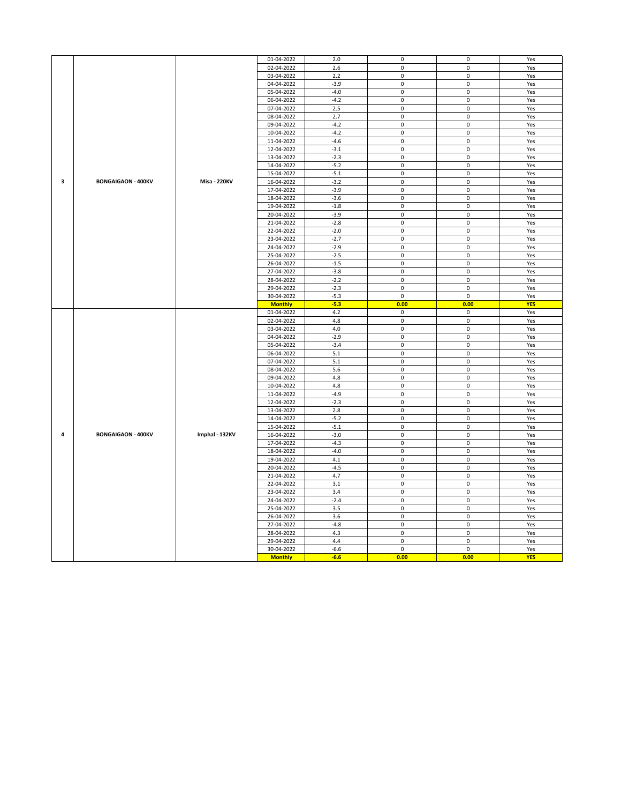|   |                           |                     | 01-04-2022     | 2.0    | 0                   | 0                   | Yes        |
|---|---------------------------|---------------------|----------------|--------|---------------------|---------------------|------------|
|   |                           |                     | 02-04-2022     | 2.6    | $\mathsf 0$         | $\pmb{0}$           | Yes        |
|   |                           |                     | 03-04-2022     | 2.2    | $\mathsf 0$         | 0                   | Yes        |
|   |                           |                     |                | $-3.9$ | $\mathsf 0$         | 0                   | Yes        |
|   |                           |                     | 04-04-2022     |        |                     |                     |            |
|   |                           |                     | 05-04-2022     | $-4.0$ | $\mathsf 0$         | 0                   | Yes        |
|   |                           |                     | 06-04-2022     | $-4.2$ | $\mathsf 0$         | 0                   | Yes        |
|   |                           |                     | 07-04-2022     | 2.5    | $\mathsf 0$         | $\pmb{0}$           | Yes        |
|   |                           |                     | 08-04-2022     | 2.7    | $\mathsf 0$         | 0                   | Yes        |
|   |                           |                     | 09-04-2022     | $-4.2$ | $\mathsf 0$         | $\pmb{0}$           | Yes        |
|   |                           |                     | 10-04-2022     | $-4.2$ | $\mathsf 0$         | $\mathsf 0$         | Yes        |
|   |                           |                     | 11-04-2022     | $-4.6$ | $\mathsf 0$         | $\pmb{0}$           | Yes        |
|   |                           |                     |                |        | $\mathsf 0$         |                     |            |
|   |                           |                     | 12-04-2022     | $-3.1$ |                     | $\pmb{0}$           | Yes        |
|   |                           |                     | 13-04-2022     | $-2.3$ | $\mathsf 0$         | $\pmb{0}$           | Yes        |
|   |                           |                     | 14-04-2022     | $-5.2$ | $\mathsf 0$         | 0                   | Yes        |
|   |                           |                     | 15-04-2022     | $-5.1$ | $\mathsf 0$         | $\pmb{0}$           | Yes        |
| з | <b>BONGAIGAON - 400KV</b> | <b>Misa - 220KV</b> | 16-04-2022     | $-3.2$ | $\mathbf 0$         | $\pmb{0}$           | Yes        |
|   |                           |                     | 17-04-2022     | $-3.9$ | $\mathsf 0$         | $\mathsf 0$         | Yes        |
|   |                           |                     | 18-04-2022     | $-3.6$ | $\mathbf 0$         | $\pmb{0}$           | Yes        |
|   |                           |                     | 19-04-2022     | $-1.8$ | $\mathsf 0$         | $\mathsf 0$         | Yes        |
|   |                           |                     | 20-04-2022     | $-3.9$ | $\mathsf 0$         | $\pmb{0}$           | Yes        |
|   |                           |                     |                |        |                     |                     |            |
|   |                           |                     | 21-04-2022     | $-2.8$ | $\mathbf 0$         | $\mathsf 0$         | Yes        |
|   |                           |                     | 22-04-2022     | $-2.0$ | $\mathsf 0$         | $\pmb{0}$           | Yes        |
|   |                           |                     | 23-04-2022     | $-2.7$ | 0                   | 0                   | Yes        |
|   |                           |                     | 24-04-2022     | $-2.9$ | $\mathsf 0$         | 0                   | Yes        |
|   |                           |                     | 25-04-2022     | $-2.5$ | $\mathsf 0$         | $\pmb{0}$           | Yes        |
|   |                           |                     | 26-04-2022     | $-1.5$ | $\mathsf 0$         | $\pmb{0}$           | Yes        |
|   |                           |                     | 27-04-2022     | $-3.8$ | $\mathbf 0$         | $\mathsf 0$         | Yes        |
|   |                           |                     | 28-04-2022     | $-2.2$ | $\mathsf 0$         | 0                   | Yes        |
|   |                           |                     |                |        |                     |                     |            |
|   |                           |                     | 29-04-2022     | $-2.3$ | $\mathbf 0$         | 0                   | Yes        |
|   |                           |                     | 30-04-2022     | $-5.3$ | $\mathsf 0$         | $\pmb{0}$           | Yes        |
|   |                           |                     | <b>Monthly</b> | $-5.3$ | 0.00                | 0.00                | <b>YES</b> |
|   |                           |                     | 01-04-2022     | 4.2    | $\mathsf 0$         | $\pmb{0}$           | Yes        |
|   |                           |                     | 02-04-2022     | 4.8    | 0                   | 0                   | Yes        |
|   |                           |                     |                |        |                     |                     |            |
|   |                           |                     | 03-04-2022     | 4.0    | $\mathbf 0$         | 0                   | Yes        |
|   |                           |                     |                |        |                     |                     |            |
|   |                           |                     | 04-04-2022     | $-2.9$ | $\mathsf 0$         | $\pmb{0}$           | Yes        |
|   |                           |                     | 05-04-2022     | $-3.4$ | $\mathsf 0$         | $\pmb{0}$           | Yes        |
|   |                           |                     | 06-04-2022     | 5.1    | $\mathbf 0$         | $\mathsf 0$         | Yes        |
|   |                           |                     | 07-04-2022     | 5.1    | 0                   | $\pmb{0}$           | Yes        |
|   |                           |                     | 08-04-2022     | 5.6    | $\mathbf 0$         | $\pmb{0}$           | Yes        |
|   |                           |                     | 09-04-2022     | 4.8    | $\mathsf 0$         | $\pmb{0}$           | Yes        |
|   |                           |                     | 10-04-2022     | 4.8    | $\mathsf 0$         | $\mathsf 0$         | Yes        |
|   |                           |                     | 11-04-2022     | $-4.9$ | $\mathsf 0$         | $\mathsf 0$         | Yes        |
|   |                           |                     | 12-04-2022     | $-2.3$ | $\mathbf 0$         | $\pmb{0}$           | Yes        |
|   |                           |                     |                |        |                     |                     |            |
|   |                           |                     | 13-04-2022     | 2.8    | $\pmb{0}$           | 0                   | Yes        |
|   |                           |                     | 14-04-2022     | $-5.2$ | $\mathsf 0$         | $\pmb{0}$           | Yes        |
|   |                           |                     | 15-04-2022     | $-5.1$ | $\mathsf 0$         | $\mathsf{O}\xspace$ | Yes        |
| 4 | <b>BONGAIGAON - 400KV</b> | Imphal - 132KV      | 16-04-2022     | $-3.0$ | $\mathsf 0$         | 0                   | Yes        |
|   |                           |                     | 17-04-2022     | $-4.3$ | $\pmb{0}$           | $\pmb{0}$           | Yes        |
|   |                           |                     | 18-04-2022     | $-4.0$ | $\pmb{0}$           | $\pmb{0}$           | Yes        |
|   |                           |                     | 19-04-2022     | 4.1    | $\mathsf 0$         | 0                   | Yes        |
|   |                           |                     | 20-04-2022     | $-4.5$ | $\mathbf 0$         | $\mathsf 0$         | Yes        |
|   |                           |                     | 21-04-2022     | 4.7    | $\mathsf 0$         | 0                   | Yes        |
|   |                           |                     |                |        |                     |                     |            |
|   |                           |                     | 22-04-2022     | 3.1    | $\mathsf 0$         | 0                   | Yes        |
|   |                           |                     | 23-04-2022     | 3.4    | $\mathsf 0$         | $\pmb{0}$           | Yes        |
|   |                           |                     | 24-04-2022     | $-2.4$ | $\mathsf 0$         | $\pmb{0}$           | Yes        |
|   |                           |                     | 25-04-2022     | 3.5    | $\mathsf 0$         | $\mathsf 0$         | Yes        |
|   |                           |                     | 26-04-2022     | 3.6    | $\mathsf 0$         | $\mathsf 0$         | Yes        |
|   |                           |                     | 27-04-2022     | $-4.8$ | $\mathbf 0$         | $\pmb{0}$           | Yes        |
|   |                           |                     | 28-04-2022     | 4.3    | $\mathsf{O}\xspace$ | 0                   | Yes        |
|   |                           |                     | 29-04-2022     | 4.4    | $\mathsf 0$         | 0                   | Yes        |
|   |                           |                     | 30-04-2022     | $-6.6$ | 0                   | 0                   | Yes        |
|   |                           |                     | <b>Monthly</b> | $-6.6$ | 0.00                | 0.00                | <b>YES</b> |